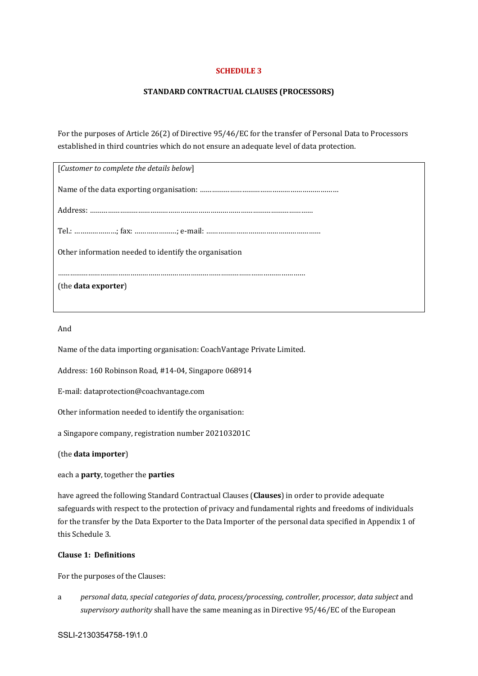### **SCHEDULE 3**

#### **STANDARD CONTRACTUAL CLAUSES (PROCESSORS)**

For the purposes of Article 26(2) of Directive 95/46/EC for the transfer of Personal Data to Processors established in third countries which do not ensure an adequate level of data protection.

| [Customer to complete the details below]              |  |  |
|-------------------------------------------------------|--|--|
|                                                       |  |  |
|                                                       |  |  |
|                                                       |  |  |
| Other information needed to identify the organisation |  |  |
|                                                       |  |  |
| (the <b>data exporter</b> )                           |  |  |

And

Name of the data importing organisation: CoachVantage Private Limited.

Address: 160 Robinson Road, #14-04, Singapore 068914

E-mail: dataprotection@coachvantage.com

Other information needed to identify the organisation:

a Singapore company, registration number 202103201C

(the **data importer**)

each a **party**, together the **parties**

have agreed the following Standard Contractual Clauses (**Clauses**) in order to provide adequate safeguards with respect to the protection of privacy and fundamental rights and freedoms of individuals for the transfer by the Data Exporter to the Data Importer of the personal data specified in Appendix 1 of this Schedule 3.

### **Clause 1: Definitions**

For the purposes of the Clauses:

a *personal data, special categories of data, process/processing, controller, processor, data subject* and *supervisory authority* shall have the same meaning as in Directive 95/46/EC of the European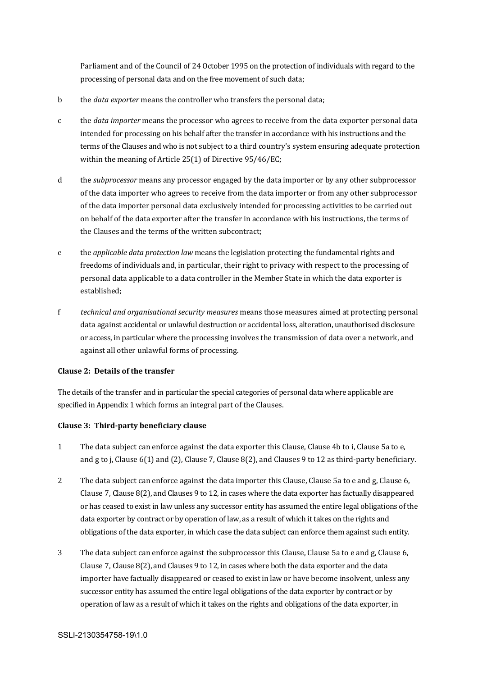Parliament and of the Council of 24 October 1995 on the protection of individuals with regard to the processing of personal data and on the free movement of such data;

- b the *data exporter* means the controller who transfers the personal data;
- c the *data importer* means the processor who agrees to receive from the data exporter personal data intended for processing on his behalf after the transfer in accordance with his instructions and the terms of the Clauses and who is not subject to a third country's system ensuring adequate protection within the meaning of Article 25(1) of Directive 95/46/EC;
- d the *subprocessor* means any processor engaged by the data importer or by any other subprocessor of the data importer who agrees to receive from the data importer or from any other subprocessor of the data importer personal data exclusively intended for processing activities to be carried out on behalf of the data exporter after the transfer in accordance with his instructions, the terms of the Clauses and the terms of the written subcontract;
- e the *applicable data protection law* means the legislation protecting the fundamental rights and freedoms of individuals and, in particular, their right to privacy with respect to the processing of personal data applicable to a data controller in the Member State in which the data exporter is established;
- f *technical and organisational security measures* means those measures aimed at protecting personal data against accidental or unlawful destruction or accidental loss, alteration, unauthorised disclosure or access, in particular where the processing involves the transmission of data over a network, and against all other unlawful forms of processing.

### **Clause 2: Details of the transfer**

The details of the transfer and in particular the special categories of personal data where applicable are specified in Appendix 1 which forms an integral part of the Clauses.

### **Clause 3: Third-party beneficiary clause**

- 1 The data subject can enforce against the data exporter this Clause, Clause 4b to i, Clause 5a to e, and g to j, Clause 6(1) and (2), Clause 7, Clause 8(2), and Clauses 9 to 12 as third-party beneficiary.
- 2 The data subject can enforce against the data importer this Clause, Clause 5a to e and g, Clause 6, Clause 7, Clause 8(2), and Clauses 9 to 12, in cases where the data exporter has factually disappeared or has ceased to exist in law unless any successor entity has assumed the entire legal obligations of the data exporter by contract or by operation of law, as a result of which it takes on the rights and obligations of the data exporter, in which case the data subject can enforce them against such entity.
- 3 The data subject can enforce against the subprocessor this Clause, Clause 5a to e and g, Clause 6, Clause 7, Clause 8(2), and Clauses 9 to 12, in cases where both the data exporter and the data importer have factually disappeared or ceased to exist in law or have become insolvent, unless any successor entity has assumed the entire legal obligations of the data exporter by contract or by operation of law as a result of which it takes on the rights and obligations of the data exporter, in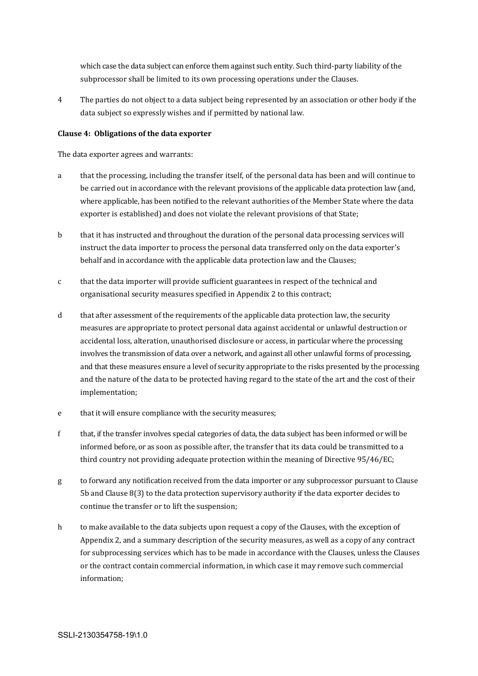which case the data subject can enforce them against such entity. Such third-party liability of the subprocessor shall be limited to its own processing operations under the Clauses.

4 The parties do not object to a data subject being represented by an association or other body if the data subject so expressly wishes and if permitted by national law.

#### **Clause 4: Obligations of the data exporter**

The data exporter agrees and warrants:

- a that the processing, including the transfer itself, of the personal data has been and will continue to be carried out in accordance with the relevant provisions of the applicable data protection law (and, where applicable, has been notified to the relevant authorities of the Member State where the data exporter is established) and does not violate the relevant provisions of that State;
- b that it has instructed and throughout the duration of the personal data processing services will instruct the data importer to process the personal data transferred only on the data exporter's behalf and in accordance with the applicable data protection law and the Clauses;
- c that the data importer will provide sufficient guarantees in respect of the technical and organisational security measures specified in Appendix 2 to this contract;
- d that after assessment of the requirements of the applicable data protection law, the security measures are appropriate to protect personal data against accidental or unlawful destruction or accidental loss, alteration, unauthorised disclosure or access, in particular where the processing involves the transmission of data over a network, and against all other unlawful forms of processing, and that these measures ensure a level of security appropriate to the risks presented by the processing and the nature of the data to be protected having regard to the state of the art and the cost of their implementation;
- e that it will ensure compliance with the security measures;
- f that, if the transfer involves special categories of data, the data subject has been informed or will be informed before, or as soon as possible after, the transfer that its data could be transmitted to a third country not providing adequate protection within the meaning of Directive 95/46/EC;
- g to forward any notification received from the data importer or any subprocessor pursuant to Clause 5b and Clause 8(3) to the data protection supervisory authority if the data exporter decides to continue the transfer or to lift the suspension;
- h to make available to the data subjects upon request a copy of the Clauses, with the exception of Appendix 2, and a summary description of the security measures, as well as a copy of any contract for subprocessing services which has to be made in accordance with the Clauses, unless the Clauses or the contract contain commercial information, in which case it may remove such commercial information;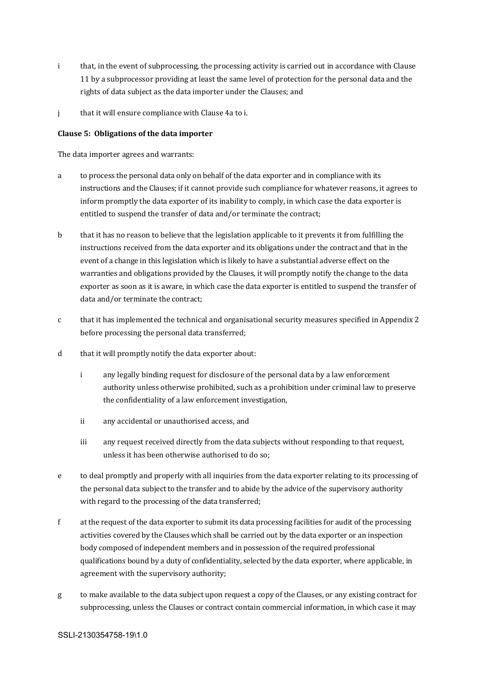- i that, in the event of subprocessing, the processing activity is carried out in accordance with Clause 11 by a subprocessor providing at least the same level of protection for the personal data and the rights of data subject as the data importer under the Clauses; and
- j that it will ensure compliance with Clause 4a to i.

### **Clause 5: Obligations of the data importer**

The data importer agrees and warrants:

- a to process the personal data only on behalf of the data exporter and in compliance with its instructions and the Clauses; if it cannot provide such compliance for whatever reasons, it agrees to inform promptly the data exporter of its inability to comply, in which case the data exporter is entitled to suspend the transfer of data and/or terminate the contract;
- b that it has no reason to believe that the legislation applicable to it prevents it from fulfilling the instructions received from the data exporter and its obligations under the contract and that in the event of a change in this legislation which is likely to have a substantial adverse effect on the warranties and obligations provided by the Clauses, it will promptly notify the change to the data exporter as soon as it is aware, in which case the data exporter is entitled to suspend the transfer of data and/or terminate the contract;
- c that it has implemented the technical and organisational security measures specified in Appendix 2 before processing the personal data transferred;
- d that it will promptly notify the data exporter about:
	- i any legally binding request for disclosure of the personal data by a law enforcement authority unless otherwise prohibited, such as a prohibition under criminal law to preserve the confidentiality of a law enforcement investigation,
	- ii any accidental or unauthorised access, and
	- iii any request received directly from the data subjects without responding to that request, unless it has been otherwise authorised to do so;
- e to deal promptly and properly with all inquiries from the data exporter relating to its processing of the personal data subject to the transfer and to abide by the advice of the supervisory authority with regard to the processing of the data transferred;
- f at the request of the data exporter to submit its data processing facilities for audit of the processing activities covered by the Clauses which shall be carried out by the data exporter or an inspection body composed of independent members and in possession of the required professional qualifications bound by a duty of confidentiality, selected by the data exporter, where applicable, in agreement with the supervisory authority;
- g to make available to the data subject upon request a copy of the Clauses, or any existing contract for subprocessing, unless the Clauses or contract contain commercial information, in which case it may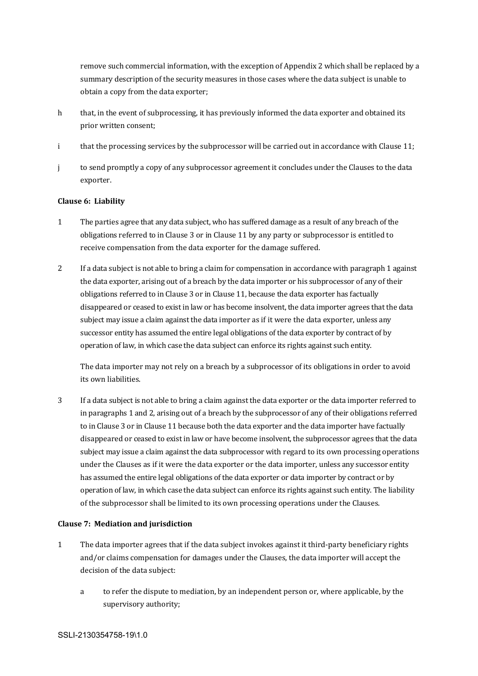remove such commercial information, with the exception of Appendix 2 which shall be replaced by a summary description of the security measures in those cases where the data subject is unable to obtain a copy from the data exporter;

- h that, in the event of subprocessing, it has previously informed the data exporter and obtained its prior written consent;
- i that the processing services by the subprocessor will be carried out in accordance with Clause 11;
- j to send promptly a copy of any subprocessor agreement it concludes under the Clauses to the data exporter.

## **Clause 6: Liability**

- 1 The parties agree that any data subject, who has suffered damage as a result of any breach of the obligations referred to in Clause 3 or in Clause 11 by any party or subprocessor is entitled to receive compensation from the data exporter for the damage suffered.
- 2 If a data subject is not able to bring a claim for compensation in accordance with paragraph 1 against the data exporter, arising out of a breach by the data importer or his subprocessor of any of their obligations referred to in Clause 3 or in Clause 11, because the data exporter has factually disappeared or ceased to exist in law or has become insolvent, the data importer agrees that the data subject may issue a claim against the data importer as if it were the data exporter, unless any successor entity has assumed the entire legal obligations of the data exporter by contract of by operation of law, in which case the data subject can enforce its rights against such entity.

The data importer may not rely on a breach by a subprocessor of its obligations in order to avoid its own liabilities.

3 If a data subject is not able to bring a claim against the data exporter or the data importer referred to in paragraphs 1 and 2, arising out of a breach by the subprocessor of any of their obligations referred to in Clause 3 or in Clause 11 because both the data exporter and the data importer have factually disappeared or ceased to exist in law or have become insolvent, the subprocessor agrees that the data subject may issue a claim against the data subprocessor with regard to its own processing operations under the Clauses as if it were the data exporter or the data importer, unless any successor entity has assumed the entire legal obligations of the data exporter or data importer by contract or by operation of law, in which case the data subject can enforce its rights against such entity. The liability of the subprocessor shall be limited to its own processing operations under the Clauses.

### **Clause 7: Mediation and jurisdiction**

- 1 The data importer agrees that if the data subject invokes against it third-party beneficiary rights and/or claims compensation for damages under the Clauses, the data importer will accept the decision of the data subject:
	- a to refer the dispute to mediation, by an independent person or, where applicable, by the supervisory authority;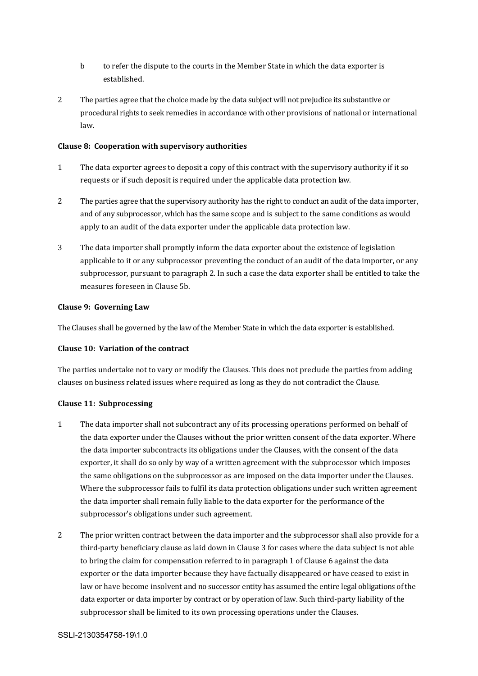- b to refer the dispute to the courts in the Member State in which the data exporter is established.
- 2 The parties agree that the choice made by the data subject will not prejudice its substantive or procedural rights to seek remedies in accordance with other provisions of national or international law.

## **Clause 8: Cooperation with supervisory authorities**

- 1 The data exporter agrees to deposit a copy of this contract with the supervisory authority if it so requests or if such deposit is required under the applicable data protection law.
- 2 The parties agree that the supervisory authority has the right to conduct an audit of the data importer, and of any subprocessor, which has the same scope and is subject to the same conditions as would apply to an audit of the data exporter under the applicable data protection law.
- 3 The data importer shall promptly inform the data exporter about the existence of legislation applicable to it or any subprocessor preventing the conduct of an audit of the data importer, or any subprocessor, pursuant to paragraph 2. In such a case the data exporter shall be entitled to take the measures foreseen in Clause 5b.

## **Clause 9: Governing Law**

The Clauses shall be governed by the law of the Member State in which the data exporter is established.

### **Clause 10: Variation of the contract**

The parties undertake not to vary or modify the Clauses. This does not preclude the parties from adding clauses on business related issues where required as long as they do not contradict the Clause.

### **Clause 11: Subprocessing**

- 1 The data importer shall not subcontract any of its processing operations performed on behalf of the data exporter under the Clauses without the prior written consent of the data exporter. Where the data importer subcontracts its obligations under the Clauses, with the consent of the data exporter, it shall do so only by way of a written agreement with the subprocessor which imposes the same obligations on the subprocessor as are imposed on the data importer under the Clauses. Where the subprocessor fails to fulfil its data protection obligations under such written agreement the data importer shall remain fully liable to the data exporter for the performance of the subprocessor's obligations under such agreement.
- 2 The prior written contract between the data importer and the subprocessor shall also provide for a third-party beneficiary clause as laid down in Clause 3 for cases where the data subject is not able to bring the claim for compensation referred to in paragraph 1 of Clause 6 against the data exporter or the data importer because they have factually disappeared or have ceased to exist in law or have become insolvent and no successor entity has assumed the entire legal obligations of the data exporter or data importer by contract or by operation of law. Such third-party liability of the subprocessor shall be limited to its own processing operations under the Clauses.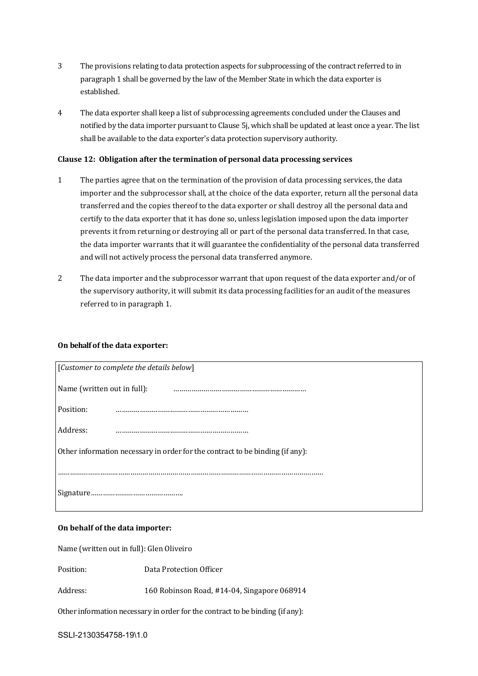- 3 The provisions relating to data protection aspects for subprocessing of the contract referred to in paragraph 1 shall be governed by the law of the Member State in which the data exporter is established.
- 4 The data exporter shall keep a list of subprocessing agreements concluded under the Clauses and notified by the data importer pursuant to Clause 5j, which shall be updated at least once a year. The list shall be available to the data exporter's data protection supervisory authority.

#### **Clause 12: Obligation after the termination of personal data processing services**

- 1 The parties agree that on the termination of the provision of data processing services, the data importer and the subprocessor shall, at the choice of the data exporter, return all the personal data transferred and the copies thereof to the data exporter or shall destroy all the personal data and certify to the data exporter that it has done so, unless legislation imposed upon the data importer prevents it from returning or destroying all or part of the personal data transferred. In that case, the data importer warrants that it will guarantee the confidentiality of the personal data transferred and will not actively process the personal data transferred anymore.
- 2 The data importer and the subprocessor warrant that upon request of the data exporter and/or of the supervisory authority, it will submit its data processing facilities for an audit of the measures referred to in paragraph 1.

#### **On behalf of the data exporter:**

| [Customer to complete the details below]                                      |  |  |
|-------------------------------------------------------------------------------|--|--|
| Name (written out in full):                                                   |  |  |
| Position:                                                                     |  |  |
| Address:                                                                      |  |  |
| Other information necessary in order for the contract to be binding (if any): |  |  |
|                                                                               |  |  |
|                                                                               |  |  |

### **On behalf of the data importer:**

Name (written out in full): Glen Oliveiro

Position: Data Protection Officer

Address: 160 Robinson Road, #14-04, Singapore 068914

Other information necessary in order for the contract to be binding (if any):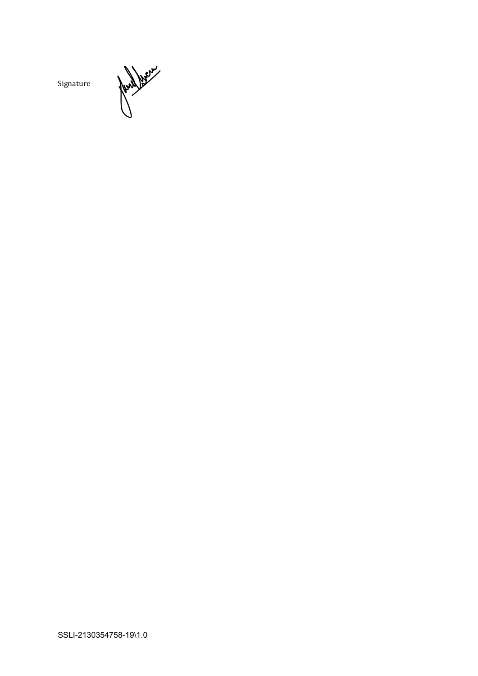Signature

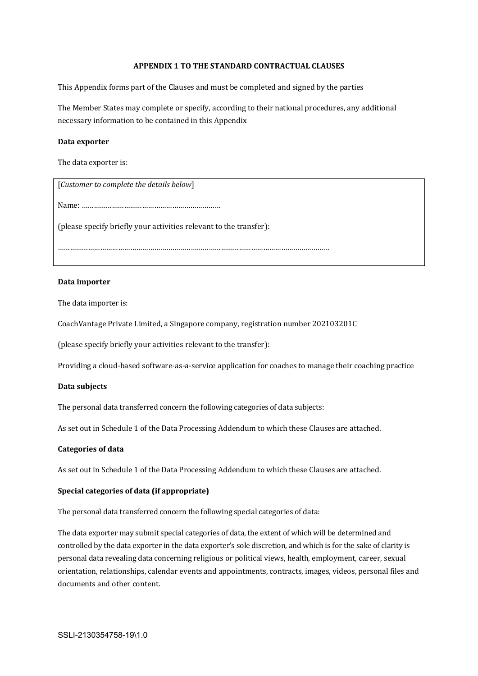#### **APPENDIX 1 TO THE STANDARD CONTRACTUAL CLAUSES**

This Appendix forms part of the Clauses and must be completed and signed by the parties

The Member States may complete or specify, according to their national procedures, any additional necessary information to be contained in this Appendix

#### **Data exporter**

The data exporter is:

[*Customer to complete the details below*]

Name: ……………………………………………………………

(please specify briefly your activities relevant to the transfer):

………………………………………………………………………………………………………………………

#### **Data importer**

The data importer is:

CoachVantage Private Limited, a Singapore company, registration number 202103201C

(please specify briefly your activities relevant to the transfer):

Providing a cloud-based software-as-a-service application for coaches to manage their coaching practice

### **Data subjects**

The personal data transferred concern the following categories of data subjects:

As set out in Schedule 1 of the Data Processing Addendum to which these Clauses are attached.

#### **Categories of data**

As set out in Schedule 1 of the Data Processing Addendum to which these Clauses are attached.

### **Special categories of data (if appropriate)**

The personal data transferred concern the following special categories of data:

The data exporter may submit special categories of data, the extent of which will be determined and controlled by the data exporter in the data exporter's sole discretion, and which is for the sake of clarity is personal data revealing data concerning religious or political views, health, employment, career, sexual orientation, relationships, calendar events and appointments, contracts, images, videos, personal files and documents and other content.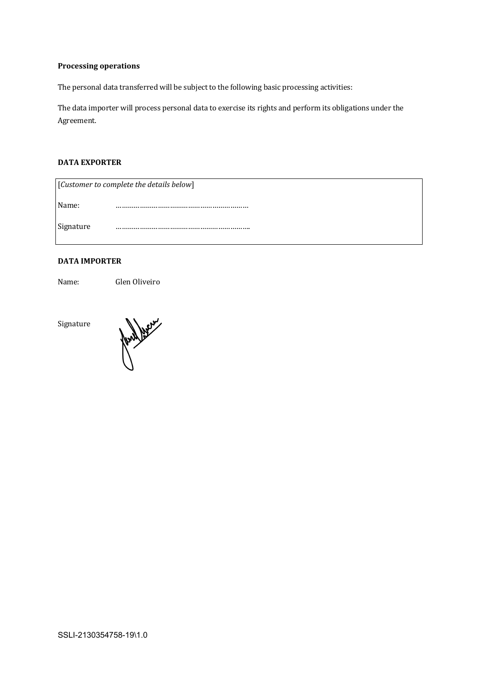### **Processing operations**

The personal data transferred will be subject to the following basic processing activities:

The data importer will process personal data to exercise its rights and perform its obligations under the Agreement.

#### **DATA EXPORTER**

| [Customer to complete the details below] |  |  |
|------------------------------------------|--|--|
| Name:                                    |  |  |
| Signature                                |  |  |

## **DATA IMPORTER**

Name: Glen Oliveiro